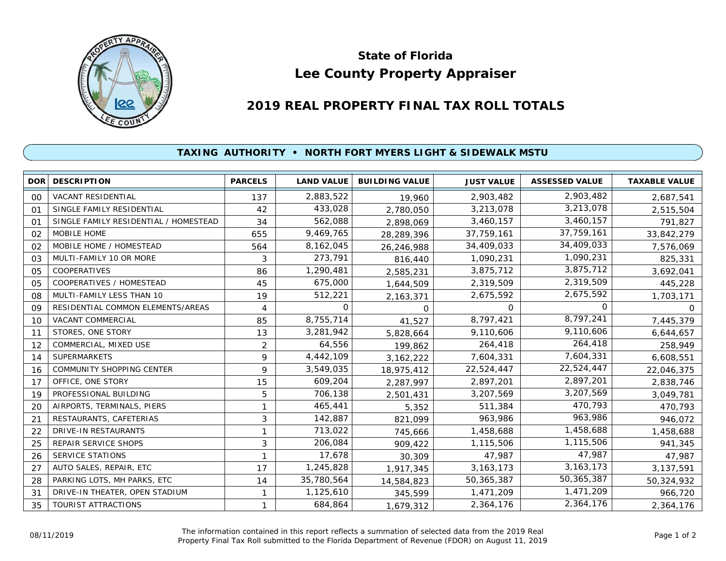

## **Lee County Property Appraiser State of Florida**

## **2019 REAL PROPERTY FINAL TAX ROLL TOTALS**

## **TAXING AUTHORITY • NORTH FORT MYERS LIGHT & SIDEWALK MSTU**

| <b>DOR</b>     | <b>DESCRIPTION</b>                    | <b>PARCELS</b> | <b>LAND VALUE</b> | <b>BUILDING VALUE</b> | <b>JUST VALUE</b> | <b>ASSESSED VALUE</b> | <b>TAXABLE VALUE</b> |
|----------------|---------------------------------------|----------------|-------------------|-----------------------|-------------------|-----------------------|----------------------|
| 00             | VACANT RESIDENTIAL                    | 137            | 2,883,522         | 19,960                | 2,903,482         | 2,903,482             | 2,687,541            |
| 01             | SINGLE FAMILY RESIDENTIAL             | 42             | 433,028           | 2,780,050             | 3,213,078         | 3,213,078             | 2,515,504            |
| O <sub>1</sub> | SINGLE FAMILY RESIDENTIAL / HOMESTEAD | 34             | 562,088           | 2,898,069             | 3,460,157         | 3,460,157             | 791,827              |
| 02             | MOBILE HOME                           | 655            | 9,469,765         | 28,289,396            | 37,759,161        | 37,759,161            | 33,842,279           |
| 02             | MOBILE HOME / HOMESTEAD               | 564            | 8,162,045         | 26,246,988            | 34,409,033        | 34,409,033            | 7,576,069            |
| 03             | MULTI-FAMILY 10 OR MORE               | 3              | 273,791           | 816,440               | 1,090,231         | 1,090,231             | 825,331              |
| 05             | COOPERATIVES                          | 86             | 1,290,481         | 2,585,231             | 3,875,712         | 3,875,712             | 3,692,041            |
| 05             | COOPERATIVES / HOMESTEAD              | 45             | 675,000           | 1,644,509             | 2,319,509         | 2,319,509             | 445,228              |
| 08             | MULTI-FAMILY LESS THAN 10             | 19             | 512,221           | 2,163,371             | 2,675,592         | 2,675,592             | 1,703,171            |
| 09             | RESIDENTIAL COMMON ELEMENTS/AREAS     | 4              | 0                 | 0                     | $\Omega$          | 0                     | 0                    |
| 10             | VACANT COMMERCIAL                     | 85             | 8,755,714         | 41,527                | 8,797,421         | 8,797,241             | 7,445,379            |
| 11             | STORES, ONE STORY                     | 13             | 3,281,942         | 5,828,664             | 9,110,606         | 9,110,606             | 6,644,657            |
| 12             | COMMERCIAL, MIXED USE                 | 2              | 64,556            | 199,862               | 264,418           | 264,418               | 258,949              |
| 14             | <b>SUPERMARKETS</b>                   | 9              | 4,442,109         | 3, 162, 222           | 7,604,331         | 7,604,331             | 6,608,551            |
| 16             | <b>COMMUNITY SHOPPING CENTER</b>      | 9              | 3,549,035         | 18,975,412            | 22,524,447        | 22,524,447            | 22,046,375           |
| 17             | OFFICE, ONE STORY                     | 15             | 609,204           | 2,287,997             | 2,897,201         | 2,897,201             | 2,838,746            |
| 19             | PROFESSIONAL BUILDING                 | 5              | 706,138           | 2,501,431             | 3,207,569         | 3,207,569             | 3,049,781            |
| 20             | AIRPORTS, TERMINALS, PIERS            | 1              | 465,441           | 5,352                 | 511,384           | 470,793               | 470,793              |
| 21             | RESTAURANTS, CAFETERIAS               | 3              | 142,887           | 821,099               | 963,986           | 963,986               | 946,072              |
| 22             | DRIVE-IN RESTAURANTS                  |                | 713,022           | 745,666               | 1,458,688         | 1,458,688             | 1,458,688            |
| 25             | REPAIR SERVICE SHOPS                  | 3              | 206,084           | 909,422               | 1,115,506         | 1,115,506             | 941,345              |
| 26             | <b>SERVICE STATIONS</b>               |                | 17,678            | 30,309                | 47,987            | 47,987                | 47,987               |
| 27             | AUTO SALES, REPAIR, ETC               | 17             | 1,245,828         | 1,917,345             | 3, 163, 173       | 3, 163, 173           | 3,137,591            |
| 28             | PARKING LOTS, MH PARKS, ETC           | 14             | 35,780,564        | 14,584,823            | 50,365,387        | 50,365,387            | 50,324,932           |
| 31             | DRIVE-IN THEATER, OPEN STADIUM        |                | 1,125,610         | 345,599               | 1,471,209         | 1,471,209             | 966,720              |
| 35             | <b>TOURIST ATTRACTIONS</b>            |                | 684,864           | 1,679,312             | 2,364,176         | 2,364,176             | 2,364,176            |